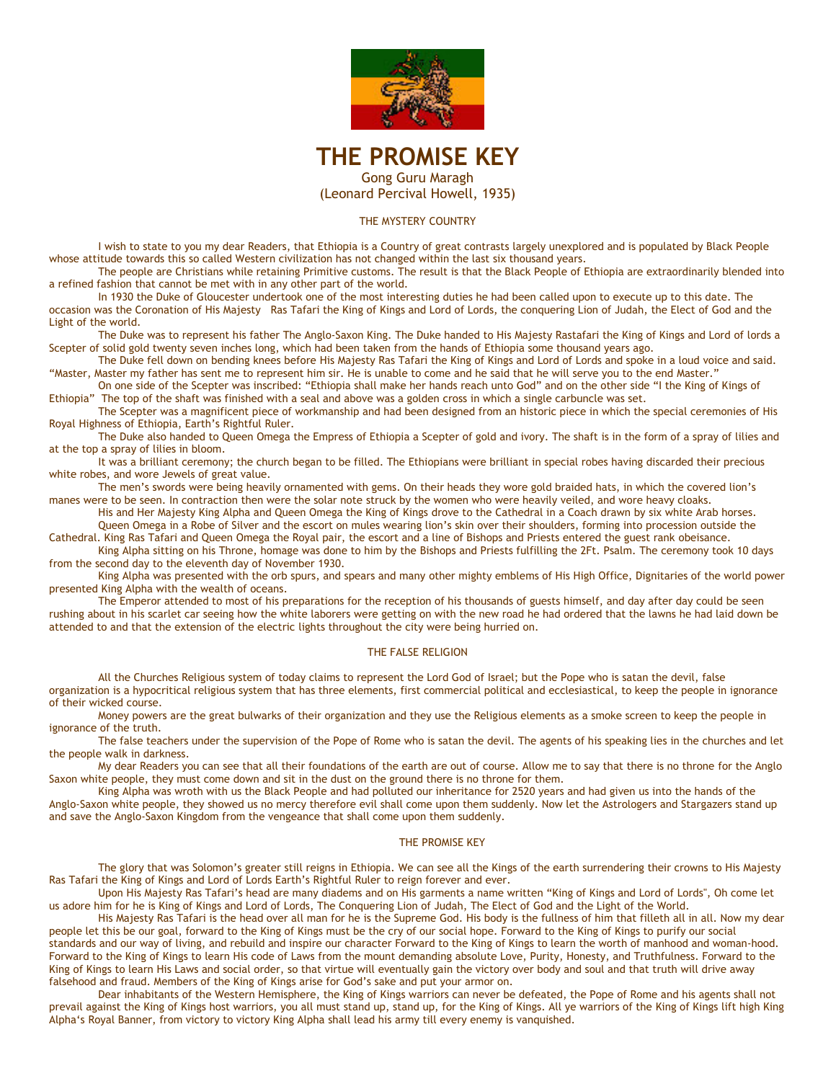

# **THE PROMISE KEY**  Gong Guru Maragh (Leonard Percival Howell, 1935)

## THE MYSTERY COUNTRY

I wish to state to you my dear Readers, that Ethiopia is a Country of great contrasts largely unexplored and is populated by Black People whose attitude towards this so called Western civilization has not changed within the last six thousand years.

The people are Christians while retaining Primitive customs. The result is that the Black People of Ethiopia are extraordinarily blended into a refined fashion that cannot be met with in any other part of the world.

In 1930 the Duke of Gloucester undertook one of the most interesting duties he had been called upon to execute up to this date. The occasion was the Coronation of His Majesty Ras Tafari the King of Kings and Lord of Lords, the conquering Lion of Judah, the Elect of God and the Light of the world.

The Duke was to represent his father The Anglo-Saxon King. The Duke handed to His Majesty Rastafari the King of Kings and Lord of lords a Scepter of solid gold twenty seven inches long, which had been taken from the hands of Ethiopia some thousand years ago.

The Duke fell down on bending knees before His Majesty Ras Tafari the King of Kings and Lord of Lords and spoke in a loud voice and said. "Master, Master my father has sent me to represent him sir. He is unable to come and he said that he will serve you to the end Master."

On one side of the Scepter was inscribed: "Ethiopia shall make her hands reach unto God" and on the other side "I the King of Kings of Ethiopia" The top of the shaft was finished with a seal and above was a golden cross in which a single carbuncle was set.

The Scepter was a magnificent piece of workmanship and had been designed from an historic piece in which the special ceremonies of His Royal Highness of Ethiopia, Earth's Rightful Ruler.

The Duke also handed to Queen Omega the Empress of Ethiopia a Scepter of gold and ivory. The shaft is in the form of a spray of lilies and at the top a spray of lilies in bloom.

It was a brilliant ceremony; the church began to be filled. The Ethiopians were brilliant in special robes having discarded their precious white robes, and wore Jewels of great value.

The men's swords were being heavily ornamented with gems. On their heads they wore gold braided hats, in which the covered lion's manes were to be seen. In contraction then were the solar note struck by the women who were heavily veiled, and wore heavy cloaks.

His and Her Majesty King Alpha and Queen Omega the King of Kings drove to the Cathedral in a Coach drawn by six white Arab horses. Queen Omega in a Robe of Silver and the escort on mules wearing lion's skin over their shoulders, forming into procession outside the

Cathedral. King Ras Tafari and Queen Omega the Royal pair, the escort and a line of Bishops and Priests entered the guest rank obeisance. King Alpha sitting on his Throne, homage was done to him by the Bishops and Priests fulfilling the 2Ft. Psalm. The ceremony took 10 days from the second day to the eleventh day of November 1930.

King Alpha was presented with the orb spurs, and spears and many other mighty emblems of His High Office, Dignitaries of the world power presented King Alpha with the wealth of oceans.

The Emperor attended to most of his preparations for the reception of his thousands of guests himself, and day after day could be seen rushing about in his scarlet car seeing how the white laborers were getting on with the new road he had ordered that the lawns he had laid down be attended to and that the extension of the electric lights throughout the city were being hurried on.

# THE FALSE RELIGION

All the Churches Religious system of today claims to represent the Lord God of Israel; but the Pope who is satan the devil, false organization is a hypocritical religious system that has three elements, first commercial political and ecclesiastical, to keep the people in ignorance of their wicked course.

Money powers are the great bulwarks of their organization and they use the Religious elements as a smoke screen to keep the people in ignorance of the truth.

The false teachers under the supervision of the Pope of Rome who is satan the devil. The agents of his speaking lies in the churches and let the people walk in darkness.

My dear Readers you can see that all their foundations of the earth are out of course. Allow me to say that there is no throne for the Anglo Saxon white people, they must come down and sit in the dust on the ground there is no throne for them.

King Alpha was wroth with us the Black People and had polluted our inheritance for 2520 years and had given us into the hands of the Anglo-Saxon white people, they showed us no mercy therefore evil shall come upon them suddenly. Now let the Astrologers and Stargazers stand up and save the Anglo-Saxon Kingdom from the vengeance that shall come upon them suddenly.

# THE PROMISE KEY

The glory that was Solomon's greater still reigns in Ethiopia. We can see all the Kings of the earth surrendering their crowns to His Majesty Ras Tafari the King of Kings and Lord of Lords Earth's Rightful Ruler to reign forever and ever.

Upon His Majesty Ras Tafari's head are many diadems and on His garments a name written "King of Kings and Lord of Lords", Oh come let us adore him for he is King of Kings and Lord of Lords, The Conquering Lion of Judah, The Elect of God and the Light of the World.

His Majesty Ras Tafari is the head over all man for he is the Supreme God. His body is the fullness of him that filleth all in all. Now my dear people let this be our goal, forward to the King of Kings must be the cry of our social hope. Forward to the King of Kings to purify our social standards and our way of living, and rebuild and inspire our character Forward to the King of Kings to learn the worth of manhood and woman-hood. Forward to the King of Kings to learn His code of Laws from the mount demanding absolute Love, Purity, Honesty, and Truthfulness. Forward to the King of Kings to learn His Laws and social order, so that virtue will eventually gain the victory over body and soul and that truth will drive away falsehood and fraud. Members of the King of Kings arise for God's sake and put your armor on.

Dear inhabitants of the Western Hemisphere, the King of Kings warriors can never be defeated, the Pope of Rome and his agents shall not prevail against the King of Kings host warriors, you all must stand up, stand up, for the King of Kings. All ye warriors of the King of Kings lift high King Alpha's Royal Banner, from victory to victory King Alpha shall lead his army till every enemy is vanquished.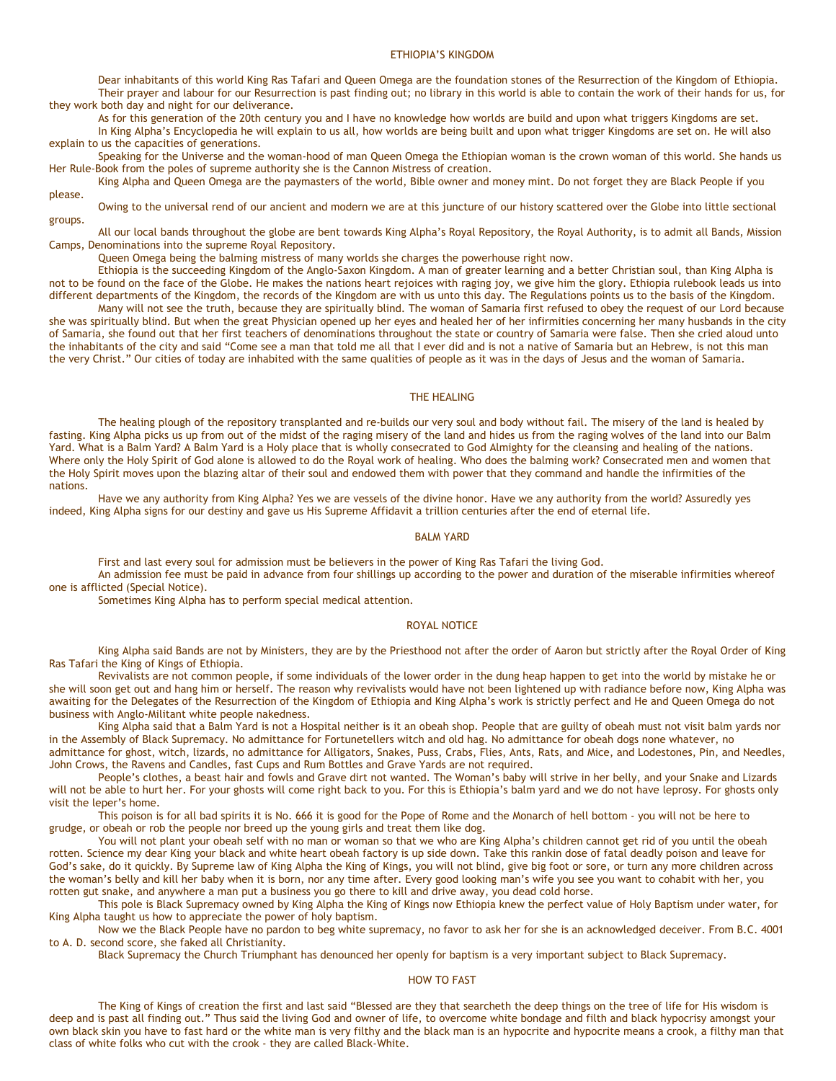#### ETHIOPIA'S KINGDOM

Dear inhabitants of this world King Ras Tafari and Queen Omega are the foundation stones of the Resurrection of the Kingdom of Ethiopia. Their prayer and labour for our Resurrection is past finding out; no library in this world is able to contain the work of their hands for us, for they work both day and night for our deliverance.

As for this generation of the 20th century you and I have no knowledge how worlds are build and upon what triggers Kingdoms are set.

In King Alpha's Encyclopedia he will explain to us all, how worlds are being built and upon what trigger Kingdoms are set on. He will also explain to us the capacities of generations.

Speaking for the Universe and the woman-hood of man Queen Omega the Ethiopian woman is the crown woman of this world. She hands us Her Rule-Book from the poles of supreme authority she is the Cannon Mistress of creation.

King Alpha and Queen Omega are the paymasters of the world, Bible owner and money mint. Do not forget they are Black People if you please.

Owing to the universal rend of our ancient and modern we are at this juncture of our history scattered over the Globe into little sectional groups.

All our local bands throughout the globe are bent towards King Alpha's Royal Repository, the Royal Authority, is to admit all Bands, Mission Camps, Denominations into the supreme Royal Repository.

Queen Omega being the balming mistress of many worlds she charges the powerhouse right now.

Ethiopia is the succeeding Kingdom of the Anglo-Saxon Kingdom. A man of greater learning and a better Christian soul, than King Alpha is not to be found on the face of the Globe. He makes the nations heart rejoices with raging joy, we give him the glory. Ethiopia rulebook leads us into different departments of the Kingdom, the records of the Kingdom are with us unto this day. The Regulations points us to the basis of the Kingdom.

Many will not see the truth, because they are spiritually blind. The woman of Samaria first refused to obey the request of our Lord because she was spiritually blind. But when the great Physician opened up her eyes and healed her of her infirmities concerning her many husbands in the city of Samaria, she found out that her first teachers of denominations throughout the state or country of Samaria were false. Then she cried aloud unto the inhabitants of the city and said "Come see a man that told me all that I ever did and is not a native of Samaria but an Hebrew, is not this man the very Christ." Our cities of today are inhabited with the same qualities of people as it was in the days of Jesus and the woman of Samaria.

## THE HEALING

The healing plough of the repository transplanted and re-builds our very soul and body without fail. The misery of the land is healed by fasting. King Alpha picks us up from out of the midst of the raging misery of the land and hides us from the raging wolves of the land into our Balm Yard. What is a Balm Yard? A Balm Yard is a Holy place that is wholly consecrated to God Almighty for the cleansing and healing of the nations. Where only the Holy Spirit of God alone is allowed to do the Royal work of healing. Who does the balming work? Consecrated men and women that the Holy Spirit moves upon the blazing altar of their soul and endowed them with power that they command and handle the infirmities of the nations.

Have we any authority from King Alpha? Yes we are vessels of the divine honor. Have we any authority from the world? Assuredly yes indeed, King Alpha signs for our destiny and gave us His Supreme Affidavit a trillion centuries after the end of eternal life.

## BALM YARD

First and last every soul for admission must be believers in the power of King Ras Tafari the living God.

An admission fee must be paid in advance from four shillings up according to the power and duration of the miserable infirmities whereof one is afflicted (Special Notice).

Sometimes King Alpha has to perform special medical attention.

#### ROYAL NOTICE

King Alpha said Bands are not by Ministers, they are by the Priesthood not after the order of Aaron but strictly after the Royal Order of King Ras Tafari the King of Kings of Ethiopia.

Revivalists are not common people, if some individuals of the lower order in the dung heap happen to get into the world by mistake he or she will soon get out and hang him or herself. The reason why revivalists would have not been lightened up with radiance before now, King Alpha was awaiting for the Delegates of the Resurrection of the Kingdom of Ethiopia and King Alpha's work is strictly perfect and He and Queen Omega do not business with Anglo-Militant white people nakedness.

King Alpha said that a Balm Yard is not a Hospital neither is it an obeah shop. People that are guilty of obeah must not visit balm yards nor in the Assembly of Black Supremacy. No admittance for Fortunetellers witch and old hag. No admittance for obeah dogs none whatever, no admittance for ghost, witch, lizards, no admittance for Alligators, Snakes, Puss, Crabs, Flies, Ants, Rats, and Mice, and Lodestones, Pin, and Needles, John Crows, the Ravens and Candles, fast Cups and Rum Bottles and Grave Yards are not required.

People's clothes, a beast hair and fowls and Grave dirt not wanted. The Woman's baby will strive in her belly, and your Snake and Lizards will not be able to hurt her. For your ghosts will come right back to you. For this is Ethiopia's balm yard and we do not have leprosy. For ghosts only visit the leper's home.

This poison is for all bad spirits it is No. 666 it is good for the Pope of Rome and the Monarch of hell bottom - you will not be here to grudge, or obeah or rob the people nor breed up the young girls and treat them like dog.

You will not plant your obeah self with no man or woman so that we who are King Alpha's children cannot get rid of you until the obeah rotten. Science my dear King your black and white heart obeah factory is up side down. Take this rankin dose of fatal deadly poison and leave for God's sake, do it quickly. By Supreme law of King Alpha the King of Kings, you will not blind, give big foot or sore, or turn any more children across the woman's belly and kill her baby when it is born, nor any time after. Every good looking man's wife you see you want to cohabit with her, you rotten gut snake, and anywhere a man put a business you go there to kill and drive away, you dead cold horse.

This pole is Black Supremacy owned by King Alpha the King of Kings now Ethiopia knew the perfect value of Holy Baptism under water, for King Alpha taught us how to appreciate the power of holy baptism.

Now we the Black People have no pardon to beg white supremacy, no favor to ask her for she is an acknowledged deceiver. From B.C. 4001 to A. D. second score, she faked all Christianity.

Black Supremacy the Church Triumphant has denounced her openly for baptism is a very important subject to Black Supremacy.

## HOW TO FAST

The King of Kings of creation the first and last said "Blessed are they that searcheth the deep things on the tree of life for His wisdom is deep and is past all finding out." Thus said the living God and owner of life, to overcome white bondage and filth and black hypocrisy amongst your own black skin you have to fast hard or the white man is very filthy and the black man is an hypocrite and hypocrite means a crook, a filthy man that class of white folks who cut with the crook - they are called Black-White.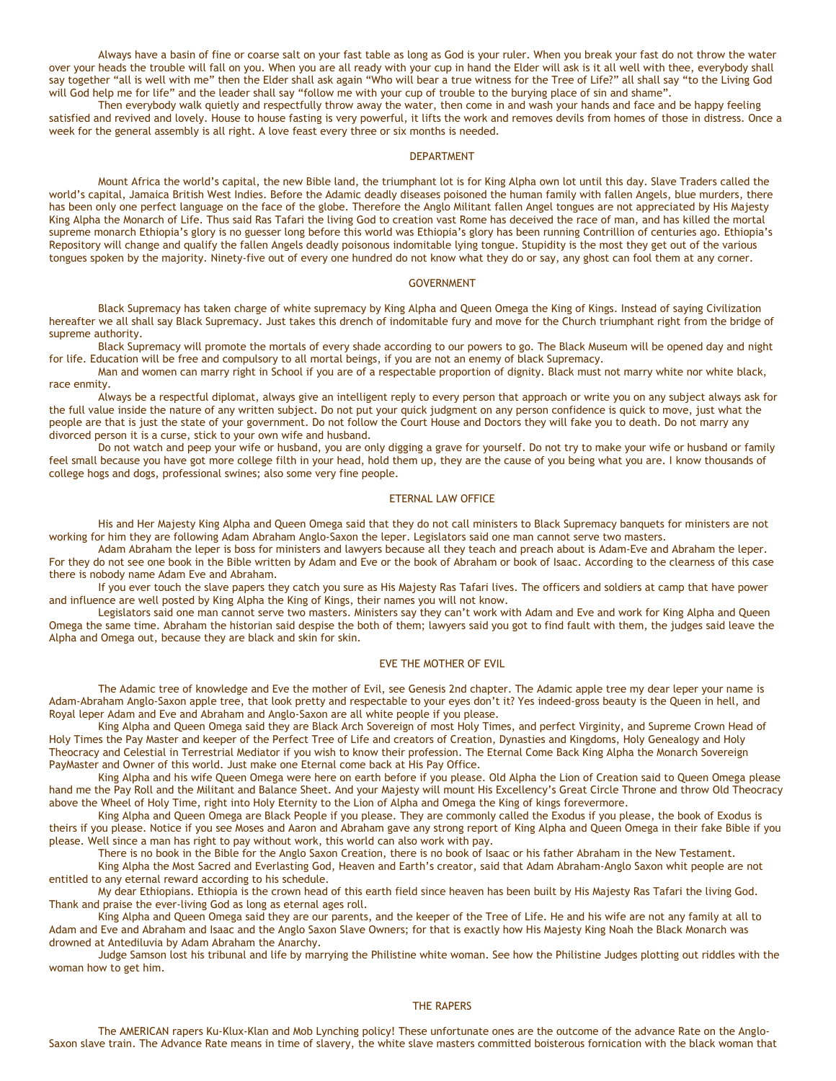Always have a basin of fine or coarse salt on your fast table as long as God is your ruler. When you break your fast do not throw the water over your heads the trouble will fall on you. When you are all ready with your cup in hand the Elder will ask is it all well with thee, everybody shall say together "all is well with me" then the Elder shall ask again "Who will bear a true witness for the Tree of Life?" all shall say "to the Living God will God help me for life" and the leader shall say "follow me with your cup of trouble to the burying place of sin and shame".

Then everybody walk quietly and respectfully throw away the water, then come in and wash your hands and face and be happy feeling satisfied and revived and lovely. House to house fasting is very powerful, it lifts the work and removes devils from homes of those in distress. Once a week for the general assembly is all right. A love feast every three or six months is needed.

#### **DEPARTMENT**

Mount Africa the world's capital, the new Bible land, the triumphant lot is for King Alpha own lot until this day. Slave Traders called the world's capital, Jamaica British West Indies. Before the Adamic deadly diseases poisoned the human family with fallen Angels, blue murders, there has been only one perfect language on the face of the globe. Therefore the Anglo Militant fallen Angel tongues are not appreciated by His Majesty King Alpha the Monarch of Life. Thus said Ras Tafari the living God to creation vast Rome has deceived the race of man, and has killed the mortal supreme monarch Ethiopia's glory is no guesser long before this world was Ethiopia's glory has been running Contrillion of centuries ago. Ethiopia's Repository will change and qualify the fallen Angels deadly poisonous indomitable lying tongue. Stupidity is the most they get out of the various tongues spoken by the majority. Ninety-five out of every one hundred do not know what they do or say, any ghost can fool them at any corner.

## GOVERNMENT

Black Supremacy has taken charge of white supremacy by King Alpha and Queen Omega the King of Kings. Instead of saying Civilization hereafter we all shall say Black Supremacy. Just takes this drench of indomitable fury and move for the Church triumphant right from the bridge of supreme authority.

Black Supremacy will promote the mortals of every shade according to our powers to go. The Black Museum will be opened day and night for life. Education will be free and compulsory to all mortal beings, if you are not an enemy of black Supremacy.

Man and women can marry right in School if you are of a respectable proportion of dignity. Black must not marry white nor white black, race enmity.

Always be a respectful diplomat, always give an intelligent reply to every person that approach or write you on any subject always ask for the full value inside the nature of any written subject. Do not put your quick judgment on any person confidence is quick to move, just what the people are that is just the state of your government. Do not follow the Court House and Doctors they will fake you to death. Do not marry any divorced person it is a curse, stick to your own wife and husband.

Do not watch and peep your wife or husband, you are only digging a grave for yourself. Do not try to make your wife or husband or family feel small because you have got more college filth in your head, hold them up, they are the cause of you being what you are. I know thousands of college hogs and dogs, professional swines; also some very fine people.

#### ETERNAL LAW OFFICE

His and Her Majesty King Alpha and Queen Omega said that they do not call ministers to Black Supremacy banquets for ministers are not working for him they are following Adam Abraham Anglo-Saxon the leper. Legislators said one man cannot serve two masters.

Adam Abraham the leper is boss for ministers and lawyers because all they teach and preach about is Adam-Eve and Abraham the leper. For they do not see one book in the Bible written by Adam and Eve or the book of Abraham or book of Isaac. According to the clearness of this case there is nobody name Adam Eve and Abraham.

If you ever touch the slave papers they catch you sure as His Majesty Ras Tafari lives. The officers and soldiers at camp that have power and influence are well posted by King Alpha the King of Kings, their names you will not know.

Legislators said one man cannot serve two masters. Ministers say they can't work with Adam and Eve and work for King Alpha and Queen Omega the same time. Abraham the historian said despise the both of them; lawyers said you got to find fault with them, the judges said leave the Alpha and Omega out, because they are black and skin for skin.

# EVE THE MOTHER OF EVIL

The Adamic tree of knowledge and Eve the mother of Evil, see Genesis 2nd chapter. The Adamic apple tree my dear leper your name is Adam-Abraham Anglo-Saxon apple tree, that look pretty and respectable to your eyes don't it? Yes indeed-gross beauty is the Queen in hell, and Royal leper Adam and Eve and Abraham and Anglo-Saxon are all white people if you please.

King Alpha and Queen Omega said they are Black Arch Sovereign of most Holy Times, and perfect Virginity, and Supreme Crown Head of Holy Times the Pay Master and keeper of the Perfect Tree of Life and creators of Creation, Dynasties and Kingdoms, Holy Genealogy and Holy Theocracy and Celestial in Terrestrial Mediator if you wish to know their profession. The Eternal Come Back King Alpha the Monarch Sovereign PayMaster and Owner of this world. Just make one Eternal come back at His Pay Office.

King Alpha and his wife Queen Omega were here on earth before if you please. Old Alpha the Lion of Creation said to Queen Omega please hand me the Pay Roll and the Militant and Balance Sheet. And your Majesty will mount His Excellency's Great Circle Throne and throw Old Theocracy above the Wheel of Holy Time, right into Holy Eternity to the Lion of Alpha and Omega the King of kings forevermore.

King Alpha and Queen Omega are Black People if you please. They are commonly called the Exodus if you please, the book of Exodus is theirs if you please. Notice if you see Moses and Aaron and Abraham gave any strong report of King Alpha and Queen Omega in their fake Bible if you please. Well since a man has right to pay without work, this world can also work with pay.

There is no book in the Bible for the Anglo Saxon Creation, there is no book of Isaac or his father Abraham in the New Testament. King Alpha the Most Sacred and Everlasting God, Heaven and Earth's creator, said that Adam Abraham-Anglo Saxon whit people are not entitled to any eternal reward according to his schedule.

My dear Ethiopians. Ethiopia is the crown head of this earth field since heaven has been built by His Majesty Ras Tafari the living God. Thank and praise the ever-living God as long as eternal ages roll.

King Alpha and Queen Omega said they are our parents, and the keeper of the Tree of Life. He and his wife are not any family at all to Adam and Eve and Abraham and Isaac and the Anglo Saxon Slave Owners; for that is exactly how His Majesty King Noah the Black Monarch was drowned at Antediluvia by Adam Abraham the Anarchy.

Judge Samson lost his tribunal and life by marrying the Philistine white woman. See how the Philistine Judges plotting out riddles with the woman how to get him.

#### THE RAPERS

The AMERICAN rapers Ku-Klux-Klan and Mob Lynching policy! These unfortunate ones are the outcome of the advance Rate on the Anglo-Saxon slave train. The Advance Rate means in time of slavery, the white slave masters committed boisterous fornication with the black woman that